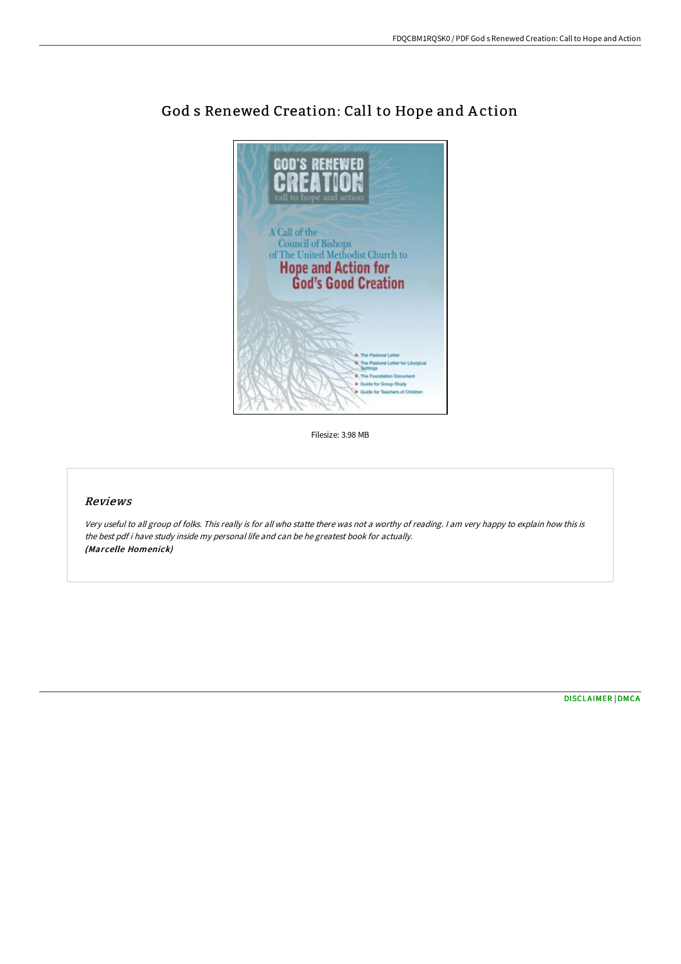

## God s Renewed Creation: Call to Hope and A ction

Filesize: 3.98 MB

## Reviews

Very useful to all group of folks. This really is for all who statte there was not <sup>a</sup> worthy of reading. <sup>I</sup> am very happy to explain how this is the best pdf i have study inside my personal life and can be he greatest book for actually. (Marcelle Homenick)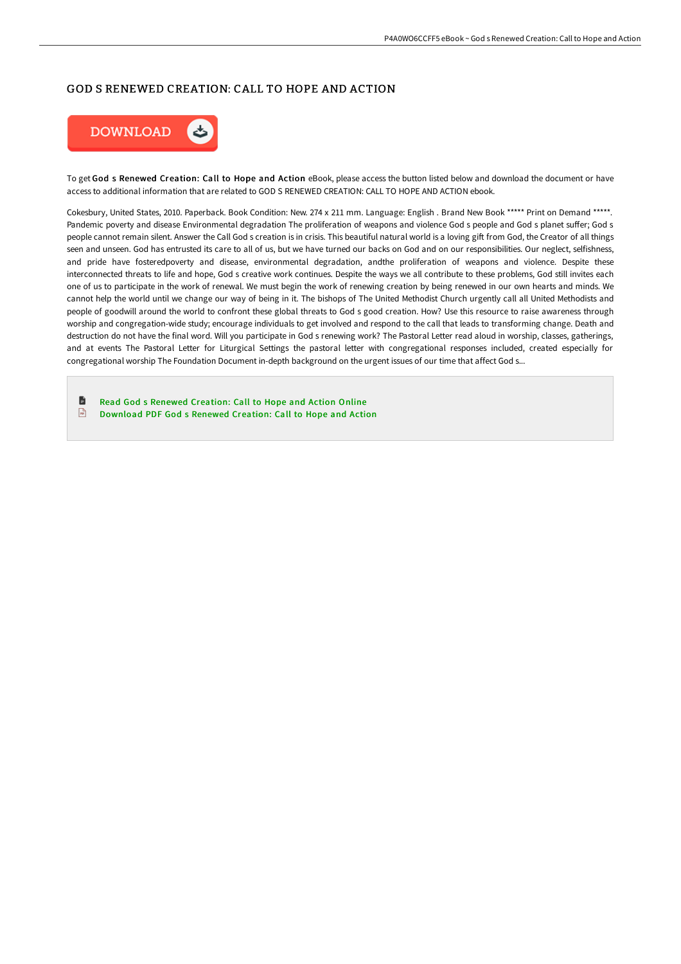## GOD S RENEWED CREATION: CALL TO HOPE AND ACTION



To get God s Renewed Creation: Call to Hope and Action eBook, please access the button listed below and download the document or have access to additional information that are related to GOD S RENEWED CREATION: CALL TO HOPE AND ACTION ebook.

Cokesbury, United States, 2010. Paperback. Book Condition: New. 274 x 211 mm. Language: English . Brand New Book \*\*\*\*\* Print on Demand \*\*\*\*\*. Pandemic poverty and disease Environmental degradation The proliferation of weapons and violence God s people and God s planet suffer; God s people cannot remain silent. Answer the Call God s creation is in crisis. This beautiful natural world is a loving gift from God, the Creator of all things seen and unseen. God has entrusted its care to all of us, but we have turned our backs on God and on our responsibilities. Our neglect, selfishness, and pride have fosteredpoverty and disease, environmental degradation, andthe proliferation of weapons and violence. Despite these interconnected threats to life and hope, God s creative work continues. Despite the ways we all contribute to these problems, God still invites each one of us to participate in the work of renewal. We must begin the work of renewing creation by being renewed in our own hearts and minds. We cannot help the world until we change our way of being in it. The bishops of The United Methodist Church urgently call all United Methodists and people of goodwill around the world to confront these global threats to God s good creation. How? Use this resource to raise awareness through worship and congregation-wide study; encourage individuals to get involved and respond to the call that leads to transforming change. Death and destruction do not have the final word. Will you participate in God s renewing work? The Pastoral Letter read aloud in worship, classes, gatherings, and at events The Pastoral Letter for Liturgical Settings the pastoral letter with congregational responses included, created especially for congregational worship The Foundation Document in-depth background on the urgent issues of our time that affect God s...

- B Read God s Renewed [Creation:](http://digilib.live/god-s-renewed-creation-call-to-hope-and-action-p.html) Call to Hope and Action Online
- $\sqrt{1}$ [Download](http://digilib.live/god-s-renewed-creation-call-to-hope-and-action-p.html) PDF God s Renewed Creation: Call to Hope and Action